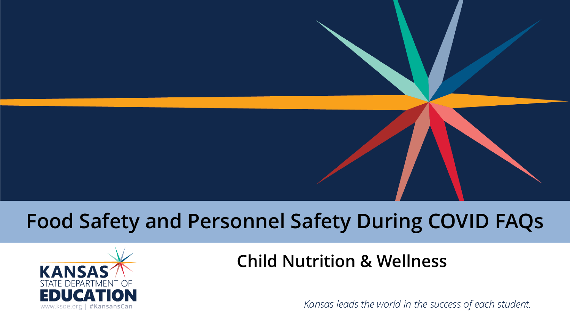### **Food Safety and Personnel Safety During COVID FAQs**



#### **Child Nutrition & Wellness**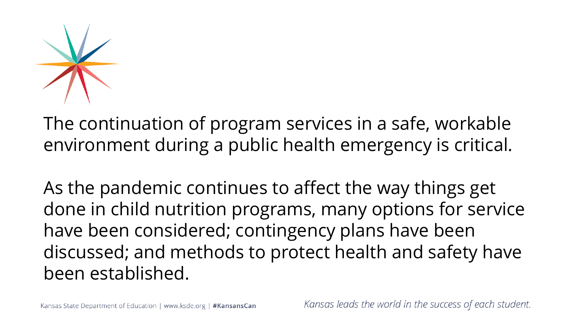

The continuation of program services in a safe, workable environment during a public health emergency is critical.

As the pandemic continues to affect the way things get done in child nutrition programs, many options for service have been considered; contingency plans have been discussed; and methods to protect health and safety have been established.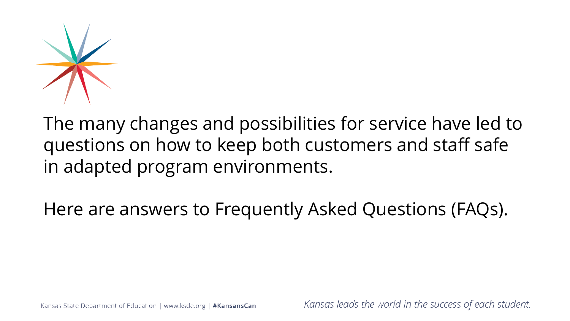

The many changes and possibilities for service have led to questions on how to keep both customers and staff safe in adapted program environments.

Here are answers to Frequently Asked Questions (FAQs).

Kansas State Department of Education | www.ksde.org | #KansansCan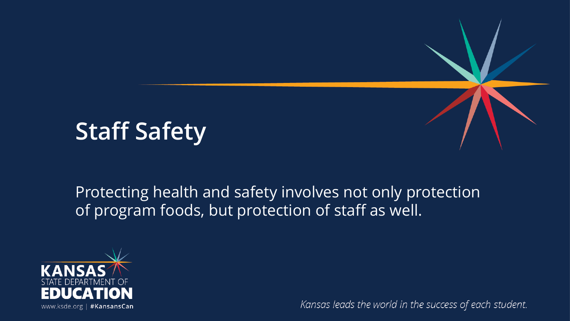# **Staff Safety**

Protecting health and safety involves not only protection of program foods, but protection of staff as well.

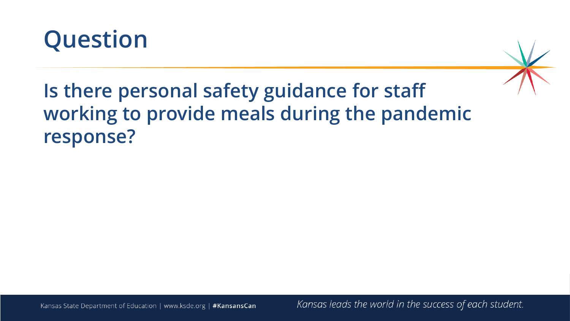



### **Is there personal safety guidance for staff working to provide meals during the pandemic response?**

Kansas State Department of Education | www.ksde.org | #KansansCan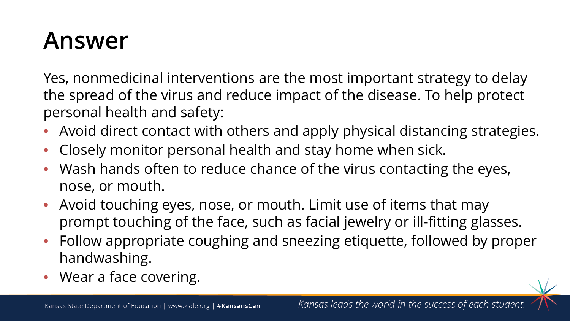Yes, nonmedicinal interventions are the most important strategy to delay the spread of the virus and reduce impact of the disease. To help protect personal health and safety:

- Avoid direct contact with others and apply physical distancing strategies.
- Closely monitor personal health and stay home when sick.
- Wash hands often to reduce chance of the virus contacting the eyes, nose, or mouth.
- Avoid touching eyes, nose, or mouth. Limit use of items that may prompt touching of the face, such as facial jewelry or ill-fitting glasses.
- Follow appropriate coughing and sneezing etiquette, followed by proper handwashing.
- Wear a face covering.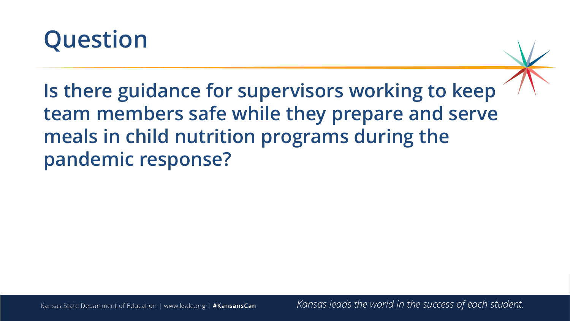

**Is there guidance for supervisors working to keep team members safe while they prepare and serve meals in child nutrition programs during the pandemic response?**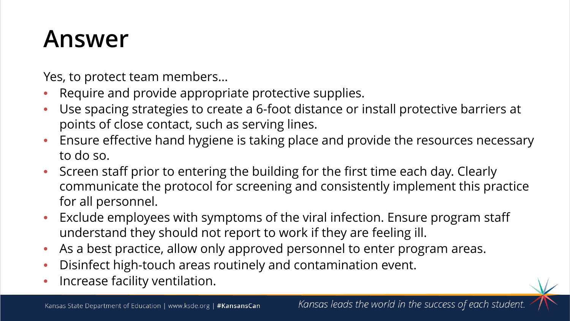Yes, to protect team members…

- Require and provide appropriate protective supplies.
- Use spacing strategies to create a 6-foot distance or install protective barriers at points of close contact, such as serving lines.
- Ensure effective hand hygiene is taking place and provide the resources necessary to do so.
- Screen staff prior to entering the building for the first time each day. Clearly communicate the protocol for screening and consistently implement this practice for all personnel.
- Exclude employees with symptoms of the viral infection. Ensure program staff understand they should not report to work if they are feeling ill.
- As a best practice, allow only approved personnel to enter program areas.
- Disinfect high-touch areas routinely and contamination event.
- Increase facility ventilation.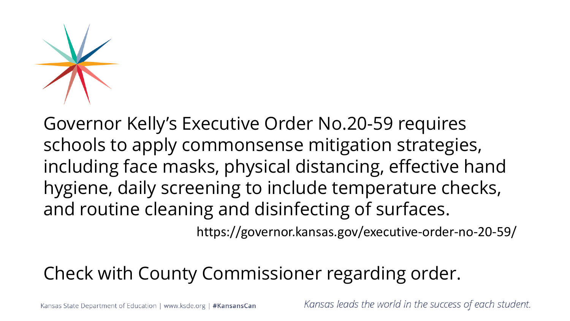Governor Kelly's Executive Order No.20-59 requires schools to apply commonsense mitigation strategies, including face masks, physical distancing, effective hand hygiene, daily screening to include temperature checks, and routine cleaning and disinfecting of surfaces.

https://governor.kansas.gov/executive-order-no-20-59/

### Check with County Commissioner regarding order.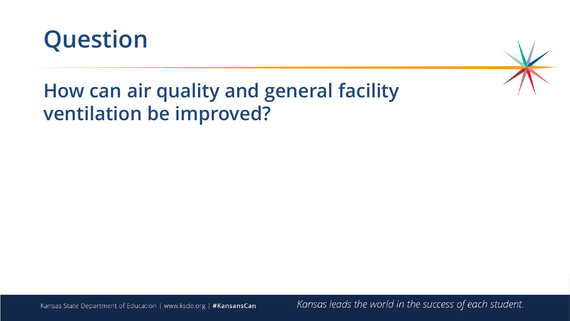



### **How can air quality and general facility ventilation be improved?**

Kansas State Department of Education | www.ksde.org | #KansansCan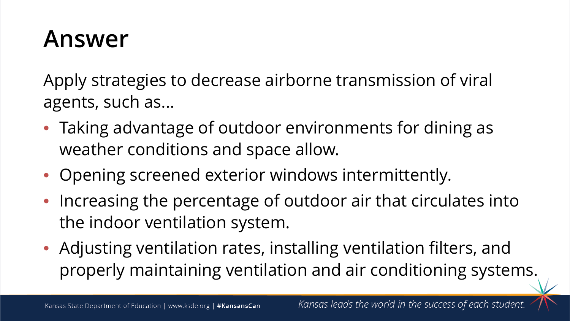Apply strategies to decrease airborne transmission of viral agents, such as...

- Taking advantage of outdoor environments for dining as weather conditions and space allow.
- Opening screened exterior windows intermittently.
- Increasing the percentage of outdoor air that circulates into the indoor ventilation system.
- Adjusting ventilation rates, installing ventilation filters, and properly maintaining ventilation and air conditioning systems.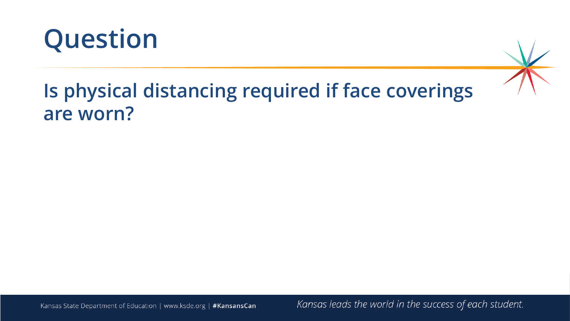

### **Is physical distancing required if face coverings are worn?**

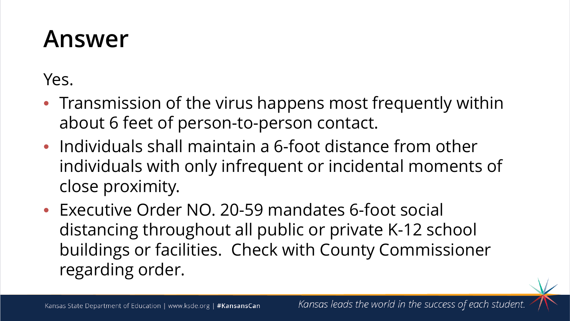Yes.

- Transmission of the virus happens most frequently within about 6 feet of person-to-person contact.
- Individuals shall maintain a 6-foot distance from other individuals with only infrequent or incidental moments of close proximity.
- Executive Order NO. 20-59 mandates 6-foot social distancing throughout all public or private K-12 school buildings or facilities. Check with County Commissioner regarding order.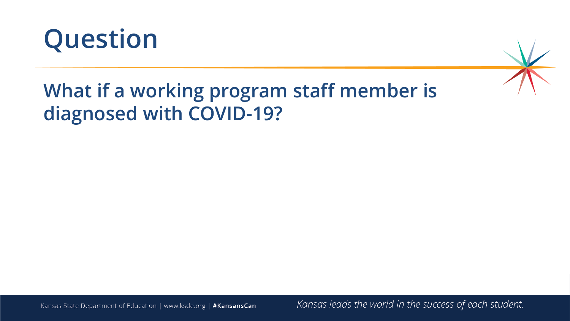

### **What if a working program staff member is diagnosed with COVID-19?**

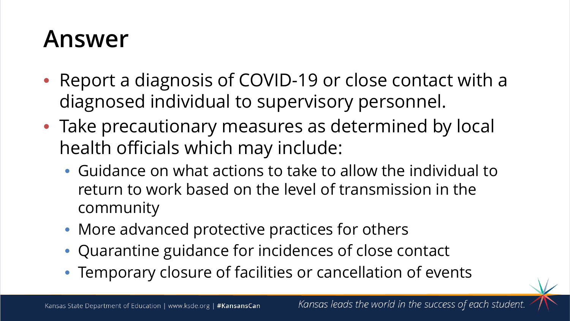- Report a diagnosis of COVID-19 or close contact with a diagnosed individual to supervisory personnel.
- Take precautionary measures as determined by local health officials which may include:
	- Guidance on what actions to take to allow the individual to return to work based on the level of transmission in the community
	- More advanced protective practices for others
	- Quarantine guidance for incidences of close contact
	- Temporary closure of facilities or cancellation of events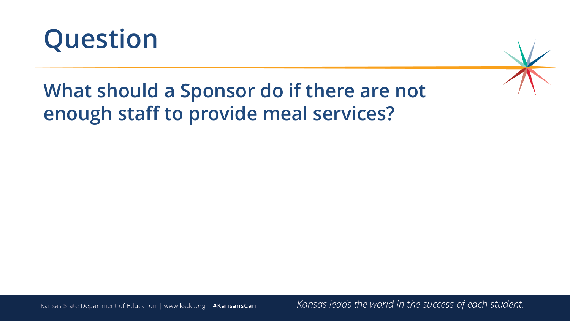



### **What should a Sponsor do if there are not enough staff to provide meal services?**

Kansas State Department of Education | www.ksde.org | #KansansCan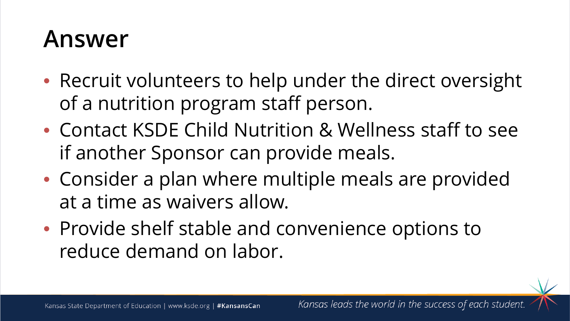- Recruit volunteers to help under the direct oversight of a nutrition program staff person.
- Contact KSDE Child Nutrition & Wellness staff to see if another Sponsor can provide meals.
- Consider a plan where multiple meals are provided at a time as waivers allow.
- Provide shelf stable and convenience options to reduce demand on labor.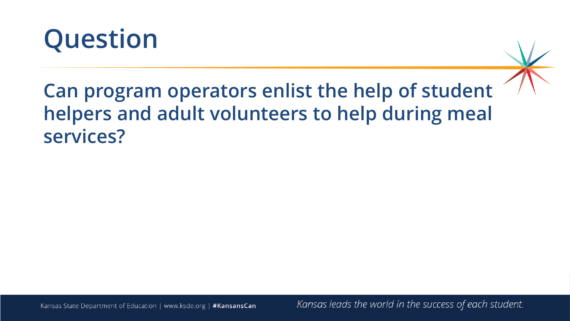

### **Can program operators enlist the help of student helpers and adult volunteers to help during meal services?**

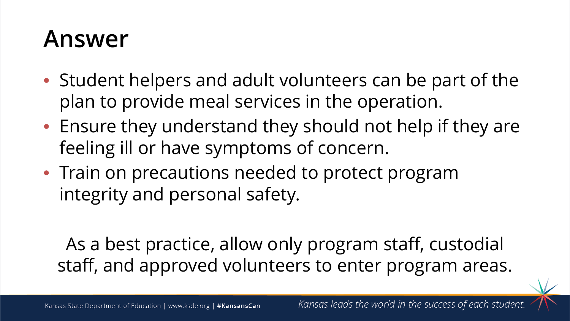- Student helpers and adult volunteers can be part of the plan to provide meal services in the operation.
- Ensure they understand they should not help if they are feeling ill or have symptoms of concern.
- Train on precautions needed to protect program integrity and personal safety.

As a best practice, allow only program staff, custodial staff, and approved volunteers to enter program areas.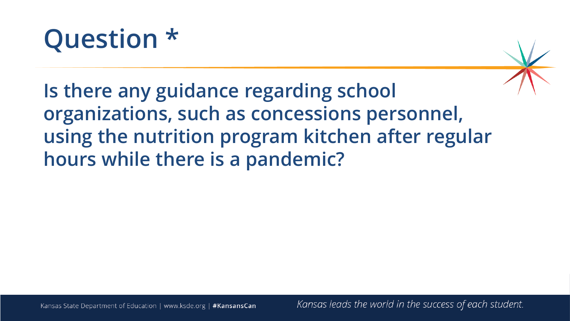# **Question \***

**Is there any guidance regarding school organizations, such as concessions personnel, using the nutrition program kitchen after regular hours while there is a pandemic?**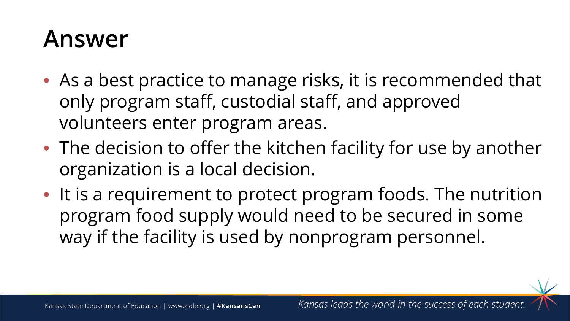- As a best practice to manage risks, it is recommended that only program staff, custodial staff, and approved volunteers enter program areas.
- The decision to offer the kitchen facility for use by another organization is a local decision.
- It is a requirement to protect program foods. The nutrition program food supply would need to be secured in some way if the facility is used by nonprogram personnel.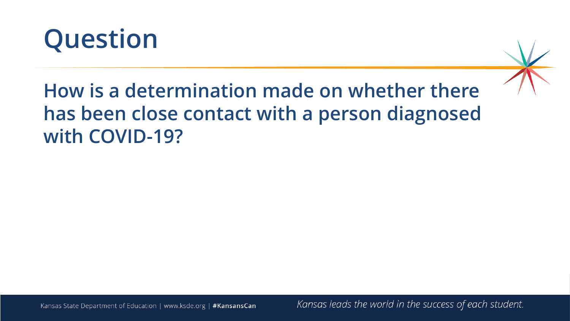



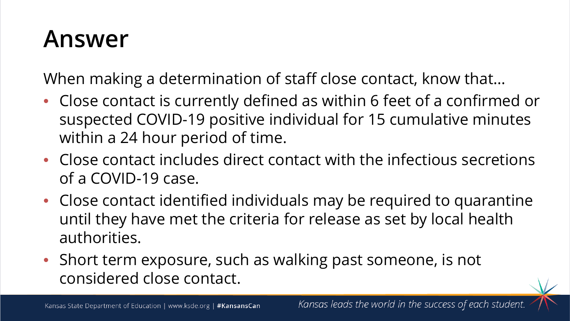When making a determination of staff close contact, know that…

- Close contact is currently defined as within 6 feet of a confirmed or suspected COVID-19 positive individual for 15 cumulative minutes within a 24 hour period of time.
- Close contact includes direct contact with the infectious secretions of a COVID-19 case.
- Close contact identified individuals may be required to quarantine until they have met the criteria for release as set by local health authorities.
- Short term exposure, such as walking past someone, is not considered close contact.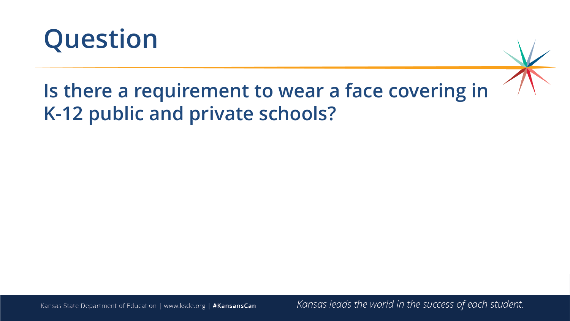

### **Is there a requirement to wear a face covering in K-12 public and private schools?**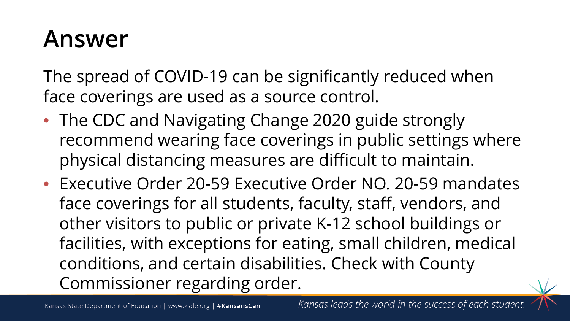The spread of COVID-19 can be significantly reduced when face coverings are used as a source control.

- The CDC and Navigating Change 2020 guide strongly recommend wearing face coverings in public settings where physical distancing measures are difficult to maintain.
- Executive Order 20-59 Executive Order NO. 20-59 mandates face coverings for all students, faculty, staff, vendors, and other visitors to public or private K-12 school buildings or facilities, with exceptions for eating, small children, medical conditions, and certain disabilities. Check with County Commissioner regarding order.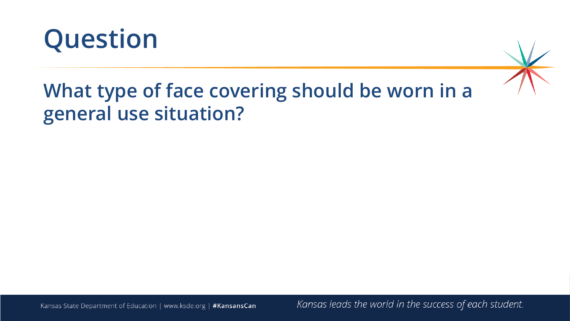

### **What type of face covering should be worn in a general use situation?**

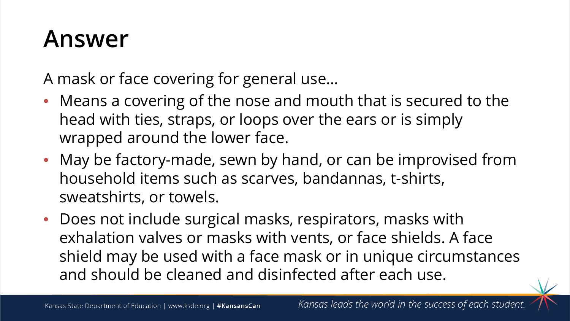A mask or face covering for general use…

- Means a covering of the nose and mouth that is secured to the head with ties, straps, or loops over the ears or is simply wrapped around the lower face.
- May be factory-made, sewn by hand, or can be improvised from household items such as scarves, bandannas, t-shirts, sweatshirts, or towels.
- Does not include surgical masks, respirators, masks with exhalation valves or masks with vents, or face shields. A face shield may be used with a face mask or in unique circumstances and should be cleaned and disinfected after each use.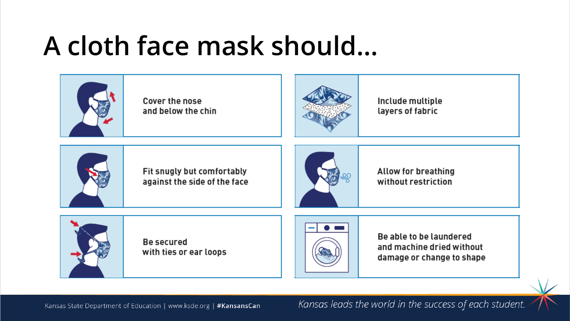# **A cloth face mask should…**



Cover the nose and below the chin



Include multiple layers of fabric



Fit snugly but comfortably against the side of the face



**Allow for breathing** without restriction



**Be secured** with ties or ear loops



Be able to be laundered and machine dried without damage or change to shape

Kansas State Department of Education | www.ksde.org | #KansansCan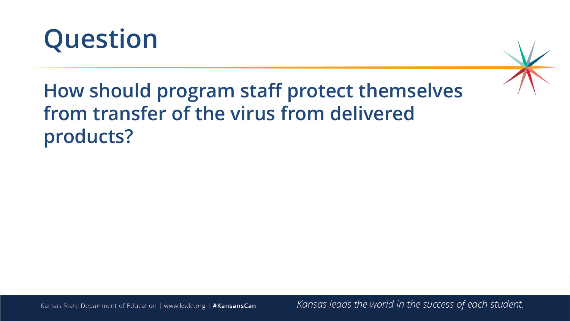

### **How should program staff protect themselves from transfer of the virus from delivered products?**

Kansas State Department of Education | www.ksde.org | #KansansCan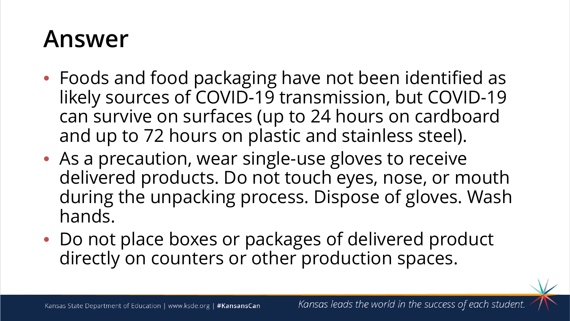- Foods and food packaging have not been identified as likely sources of COVID-19 transmission, but COVID-19 can survive on surfaces (up to 24 hours on cardboard and up to 72 hours on plastic and stainless steel).
- As a precaution, wear single-use gloves to receive delivered products. Do not touch eyes, nose, or mouth during the unpacking process. Dispose of gloves. Wash hands.
- Do not place boxes or packages of delivered product directly on counters or other production spaces.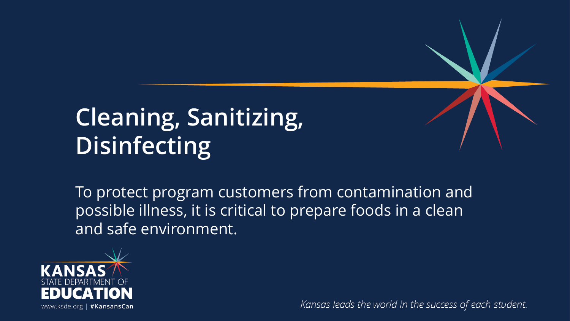# **Cleaning, Sanitizing, Disinfecting**

To protect program customers from contamination and possible illness, it is critical to prepare foods in a clean and safe environment.

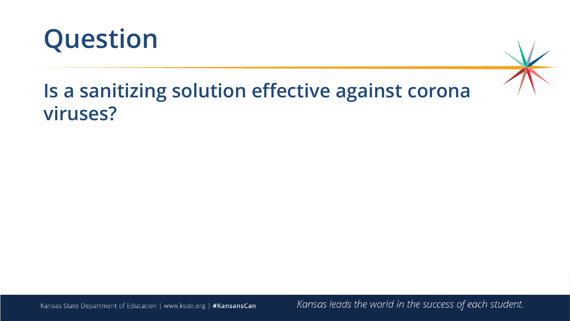

### **Is a sanitizing solution effective against corona viruses?**

Kansas State Department of Education | www.ksde.org | #KansansCan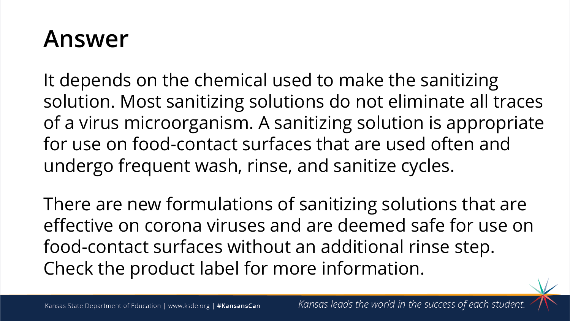It depends on the chemical used to make the sanitizing solution. Most sanitizing solutions do not eliminate all traces of a virus microorganism. A sanitizing solution is appropriate for use on food-contact surfaces that are used often and undergo frequent wash, rinse, and sanitize cycles.

There are new formulations of sanitizing solutions that are effective on corona viruses and are deemed safe for use on food-contact surfaces without an additional rinse step. Check the product label for more information.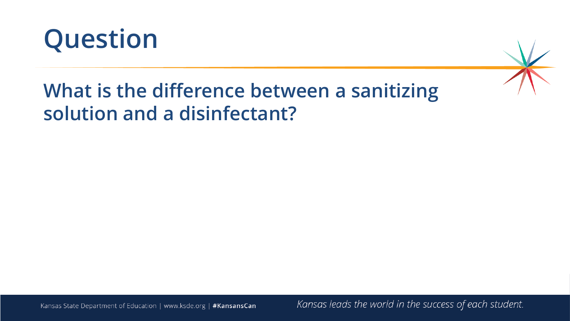

### **What is the difference between a sanitizing solution and a disinfectant?**

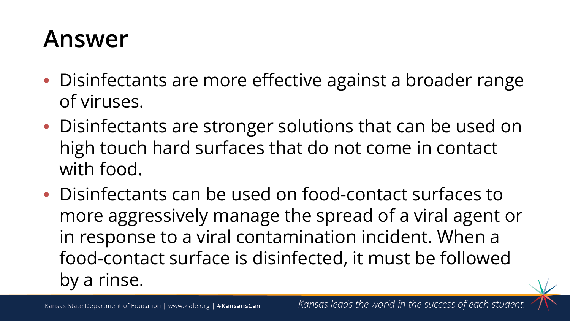- Disinfectants are more effective against a broader range of viruses.
- Disinfectants are stronger solutions that can be used on high touch hard surfaces that do not come in contact with food.
- Disinfectants can be used on food-contact surfaces to more aggressively manage the spread of a viral agent or in response to a viral contamination incident. When a food-contact surface is disinfected, it must be followed by a rinse.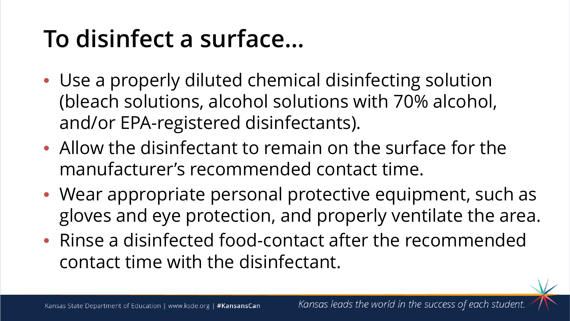# **To disinfect a surface…**

- Use a properly diluted chemical disinfecting solution (bleach solutions, alcohol solutions with 70% alcohol, and/or EPA-registered disinfectants).
- Allow the disinfectant to remain on the surface for the manufacturer's recommended contact time.
- Wear appropriate personal protective equipment, such as gloves and eye protection, and properly ventilate the area.
- Rinse a disinfected food-contact after the recommended contact time with the disinfectant.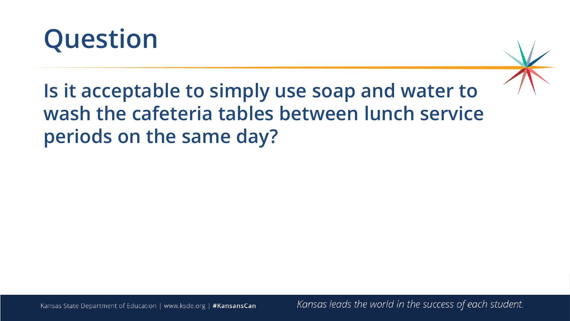



**Is it acceptable to simply use soap and water to wash the cafeteria tables between lunch service periods on the same day?**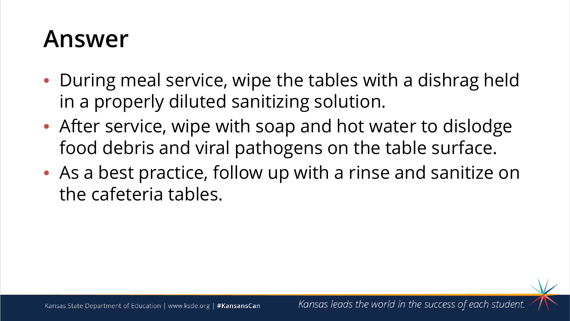- During meal service, wipe the tables with a dishrag held in a properly diluted sanitizing solution.
- After service, wipe with soap and hot water to dislodge food debris and viral pathogens on the table surface.
- As a best practice, follow up with a rinse and sanitize on the cafeteria tables.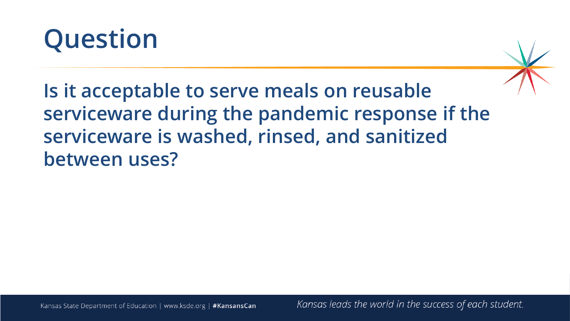

**Is it acceptable to serve meals on reusable serviceware during the pandemic response if the serviceware is washed, rinsed, and sanitized between uses?**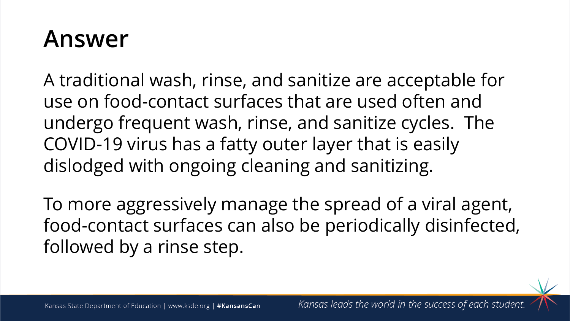A traditional wash, rinse, and sanitize are acceptable for use on food-contact surfaces that are used often and undergo frequent wash, rinse, and sanitize cycles. The COVID-19 virus has a fatty outer layer that is easily dislodged with ongoing cleaning and sanitizing.

To more aggressively manage the spread of a viral agent, food-contact surfaces can also be periodically disinfected, followed by a rinse step.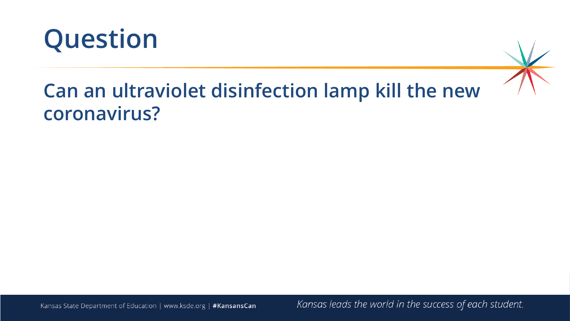

#### **Can an ultraviolet disinfection lamp kill the new coronavirus?**

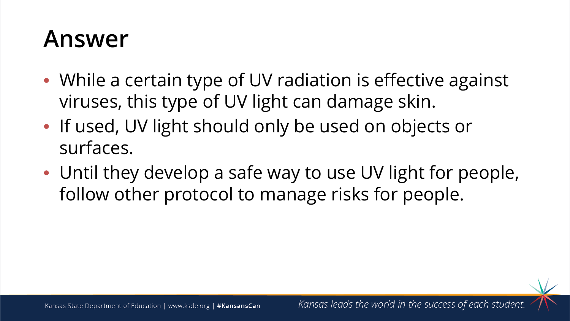- While a certain type of UV radiation is effective against viruses, this type of UV light can damage skin.
- If used, UV light should only be used on objects or surfaces.
- Until they develop a safe way to use UV light for people, follow other protocol to manage risks for people.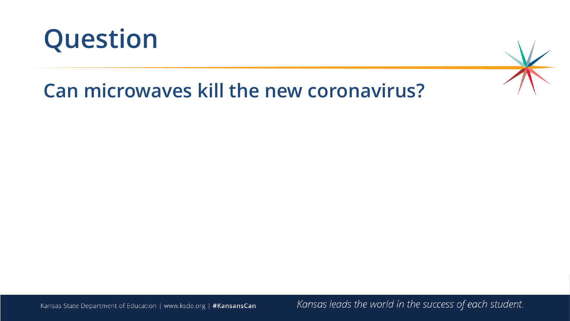



### **Can microwaves kill the new coronavirus?**

Kansas State Department of Education | www.ksde.org | #KansansCan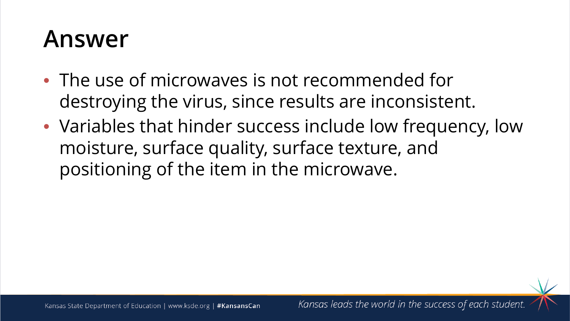- The use of microwaves is not recommended for destroying the virus, since results are inconsistent.
- Variables that hinder success include low frequency, low moisture, surface quality, surface texture, and positioning of the item in the microwave.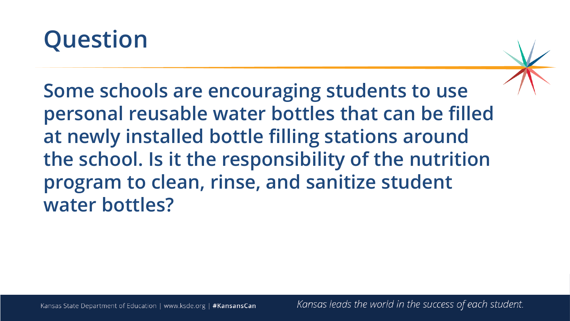

**Some schools are encouraging students to use personal reusable water bottles that can be filled at newly installed bottle filling stations around the school. Is it the responsibility of the nutrition program to clean, rinse, and sanitize student water bottles?**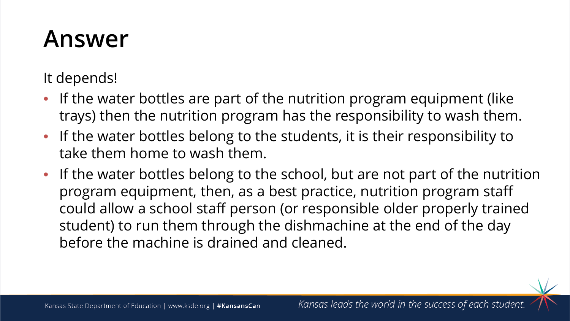It depends!

- If the water bottles are part of the nutrition program equipment (like trays) then the nutrition program has the responsibility to wash them.
- If the water bottles belong to the students, it is their responsibility to take them home to wash them.
- If the water bottles belong to the school, but are not part of the nutrition program equipment, then, as a best practice, nutrition program staff could allow a school staff person (or responsible older properly trained student) to run them through the dishmachine at the end of the day before the machine is drained and cleaned.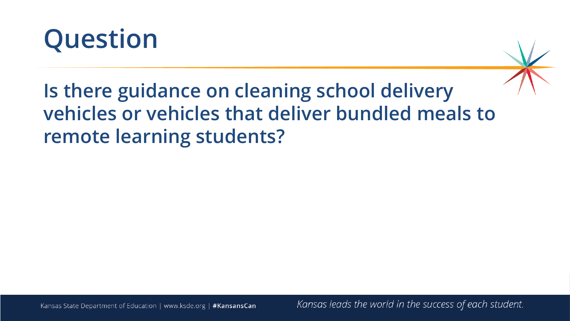

**Is there guidance on cleaning school delivery vehicles or vehicles that deliver bundled meals to remote learning students?**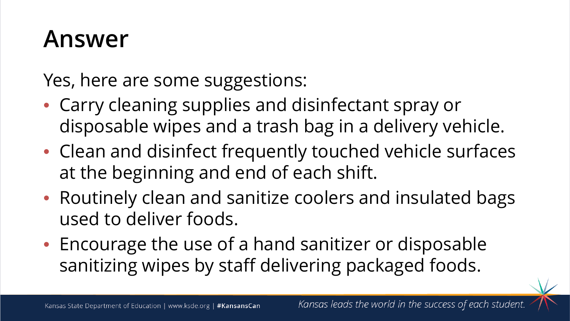Yes, here are some suggestions:

- Carry cleaning supplies and disinfectant spray or disposable wipes and a trash bag in a delivery vehicle.
- Clean and disinfect frequently touched vehicle surfaces at the beginning and end of each shift.
- Routinely clean and sanitize coolers and insulated bags used to deliver foods.
- Encourage the use of a hand sanitizer or disposable sanitizing wipes by staff delivering packaged foods.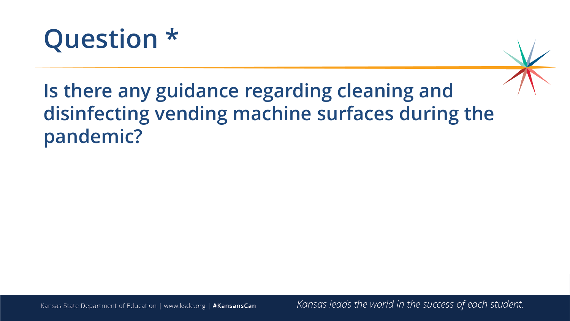

**Is there any guidance regarding cleaning and disinfecting vending machine surfaces during the pandemic?** 

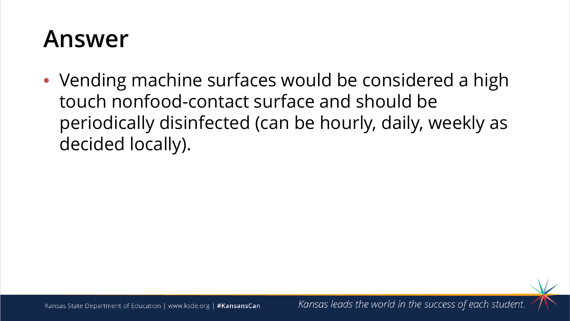• Vending machine surfaces would be considered a high touch nonfood-contact surface and should be periodically disinfected (can be hourly, daily, weekly as decided locally).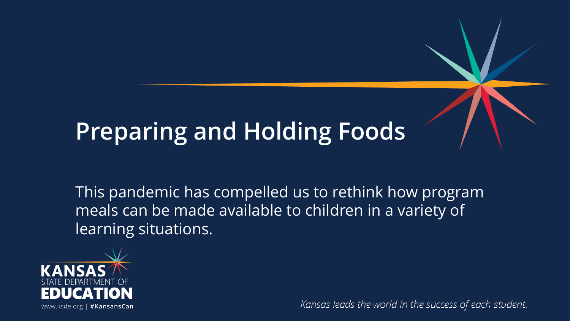# **Preparing and Holding Foods**

This pandemic has compelled us to rethink how program meals can be made available to children in a variety of learning situations.

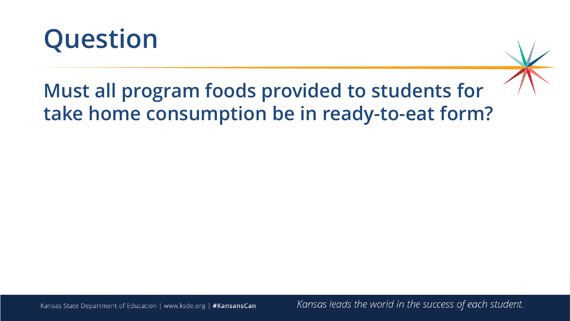

### **Must all program foods provided to students for take home consumption be in ready-to-eat form?**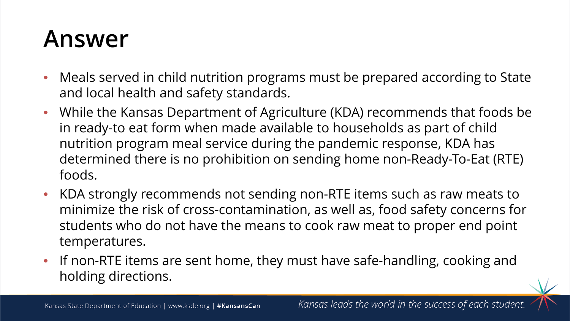- Meals served in child nutrition programs must be prepared according to State and local health and safety standards.
- While the Kansas Department of Agriculture (KDA) recommends that foods be in ready-to eat form when made available to households as part of child nutrition program meal service during the pandemic response, KDA has determined there is no prohibition on sending home non-Ready-To-Eat (RTE) foods.
- KDA strongly recommends not sending non-RTE items such as raw meats to minimize the risk of cross-contamination, as well as, food safety concerns for students who do not have the means to cook raw meat to proper end point temperatures.
- If non-RTE items are sent home, they must have safe-handling, cooking and holding directions.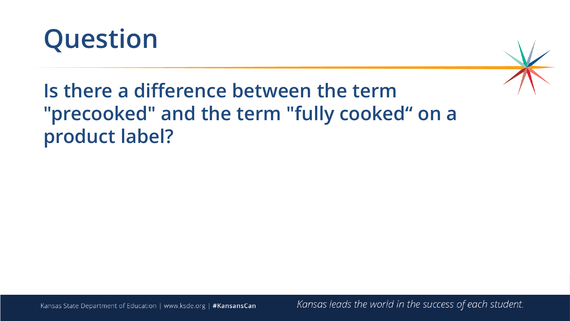



### **Is there a difference between the term "precooked" and the term "fully cooked" on a product label?**

Kansas State Department of Education | www.ksde.org | #KansansCan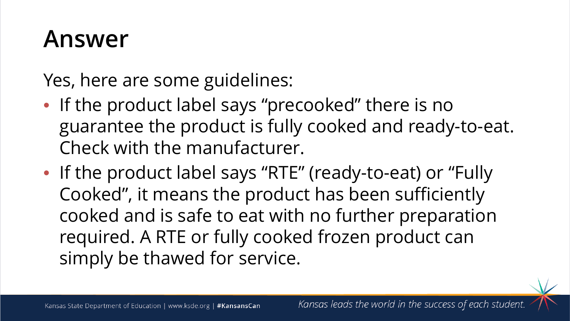Yes, here are some guidelines:

- If the product label says "precooked" there is no guarantee the product is fully cooked and ready-to-eat. Check with the manufacturer.
- If the product label says "RTE" (ready-to-eat) or "Fully Cooked", it means the product has been sufficiently cooked and is safe to eat with no further preparation required. A RTE or fully cooked frozen product can simply be thawed for service.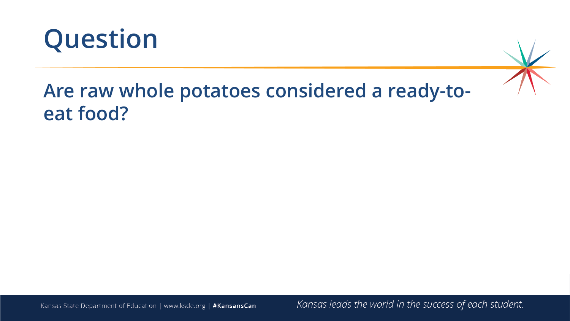

#### **Are raw whole potatoes considered a ready-toeat food?**

Kansas State Department of Education | www.ksde.org | #KansansCan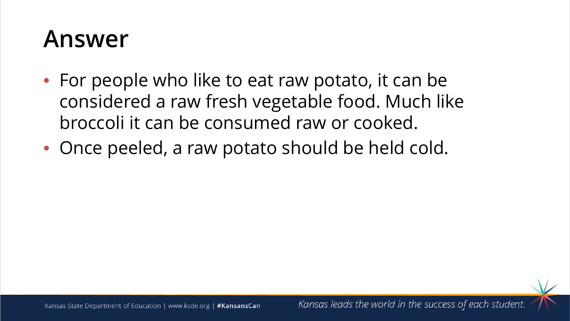- For people who like to eat raw potato, it can be considered a raw fresh vegetable food. Much like broccoli it can be consumed raw or cooked.
- Once peeled, a raw potato should be held cold.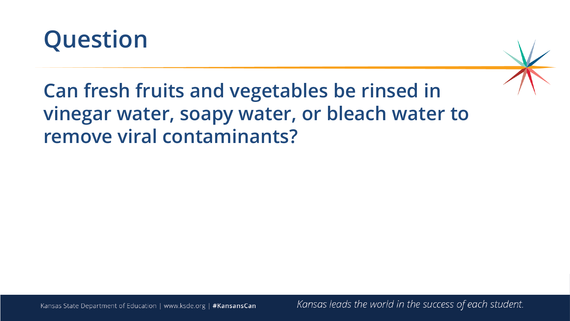



### **Can fresh fruits and vegetables be rinsed in vinegar water, soapy water, or bleach water to remove viral contaminants?**

Kansas State Department of Education | www.ksde.org | #KansansCan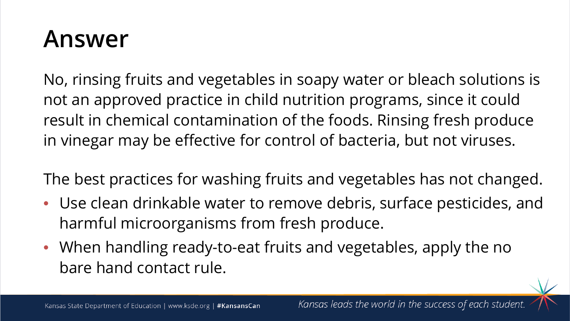No, rinsing fruits and vegetables in soapy water or bleach solutions is not an approved practice in child nutrition programs, since it could result in chemical contamination of the foods. Rinsing fresh produce in vinegar may be effective for control of bacteria, but not viruses.

The best practices for washing fruits and vegetables has not changed.

- Use clean drinkable water to remove debris, surface pesticides, and harmful microorganisms from fresh produce.
- When handling ready-to-eat fruits and vegetables, apply the no bare hand contact rule.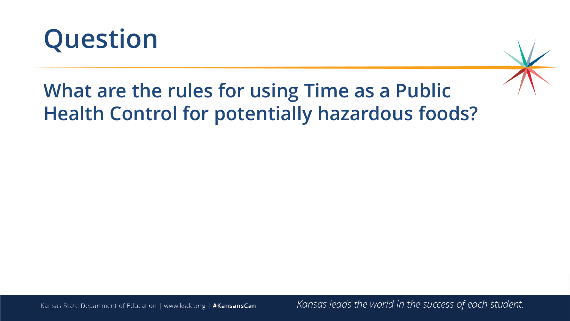



### **What are the rules for using Time as a Public Health Control for potentially hazardous foods?**

Kansas State Department of Education | www.ksde.org | #KansansCan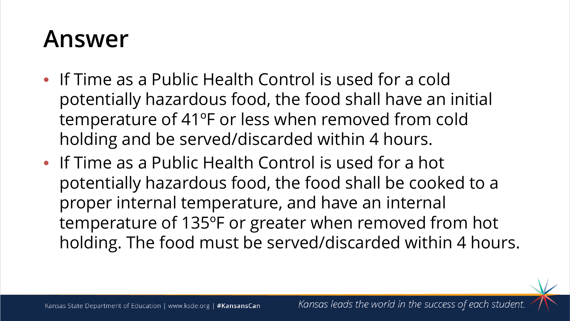- If Time as a Public Health Control is used for a cold potentially hazardous food, the food shall have an initial temperature of 41ºF or less when removed from cold holding and be served/discarded within 4 hours.
- If Time as a Public Health Control is used for a hot potentially hazardous food, the food shall be cooked to a proper internal temperature, and have an internal temperature of 135ºF or greater when removed from hot holding. The food must be served/discarded within 4 hours.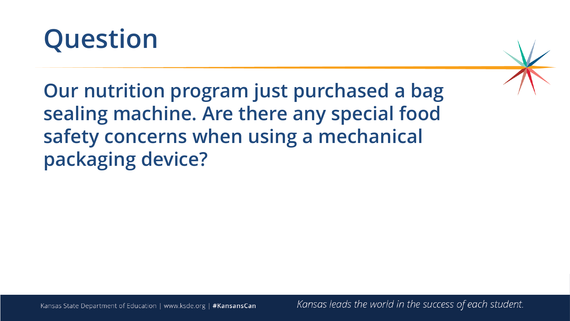

**Our nutrition program just purchased a bag sealing machine. Are there any special food safety concerns when using a mechanical packaging device?**

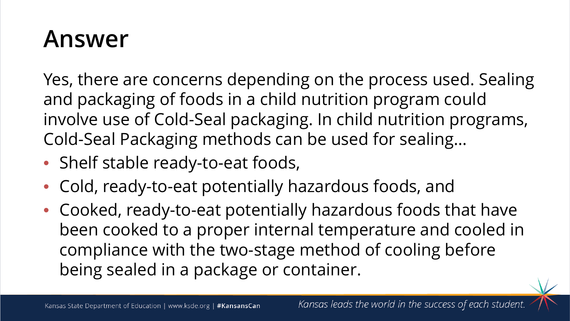Yes, there are concerns depending on the process used. Sealing and packaging of foods in a child nutrition program could involve use of Cold-Seal packaging. In child nutrition programs, Cold-Seal Packaging methods can be used for sealing…

- Shelf stable ready-to-eat foods,
- Cold, ready-to-eat potentially hazardous foods, and
- Cooked, ready-to-eat potentially hazardous foods that have been cooked to a proper internal temperature and cooled in compliance with the two-stage method of cooling before being sealed in a package or container.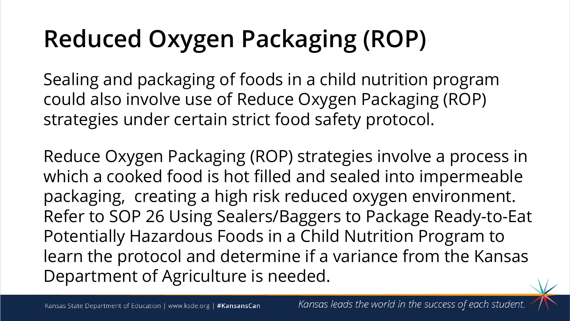# **Reduced Oxygen Packaging (ROP)**

Sealing and packaging of foods in a child nutrition program could also involve use of Reduce Oxygen Packaging (ROP) strategies under certain strict food safety protocol.

Reduce Oxygen Packaging (ROP) strategies involve a process in which a cooked food is hot filled and sealed into impermeable packaging, creating a high risk reduced oxygen environment. Refer to SOP 26 Using Sealers/Baggers to Package Ready-to-Eat Potentially Hazardous Foods in a Child Nutrition Program to learn the protocol and determine if a variance from the Kansas Department of Agriculture is needed.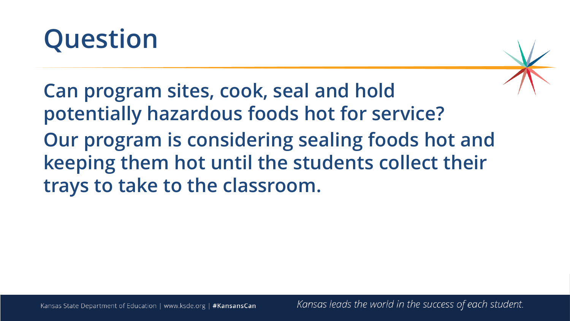



**Can program sites, cook, seal and hold potentially hazardous foods hot for service? Our program is considering sealing foods hot and keeping them hot until the students collect their trays to take to the classroom.**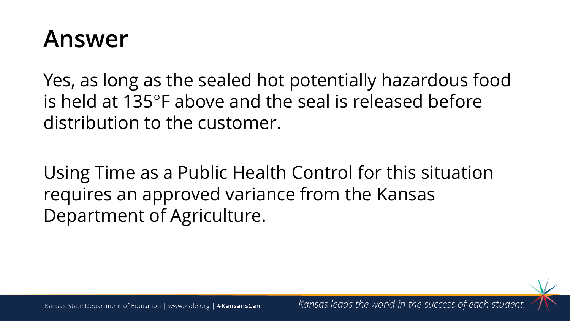Yes, as long as the sealed hot potentially hazardous food is held at 135°F above and the seal is released before distribution to the customer.

Using Time as a Public Health Control for this situation requires an approved variance from the Kansas Department of Agriculture.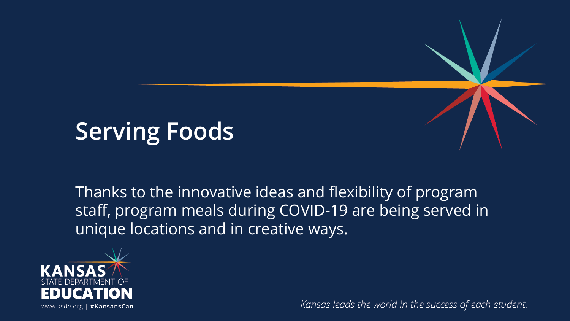# **Serving Foods**

Thanks to the innovative ideas and flexibility of program staff, program meals during COVID-19 are being served in unique locations and in creative ways.

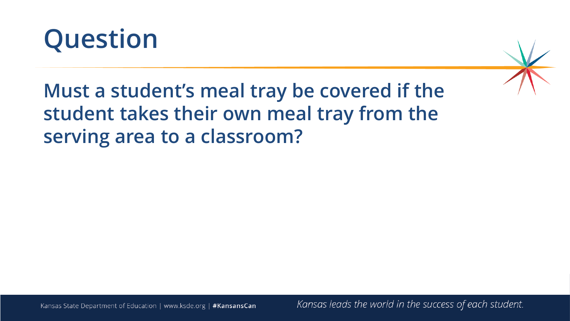

**Must a student's meal tray be covered if the student takes their own meal tray from the serving area to a classroom?**



Kansas State Department of Education | www.ksde.org | #KansansCan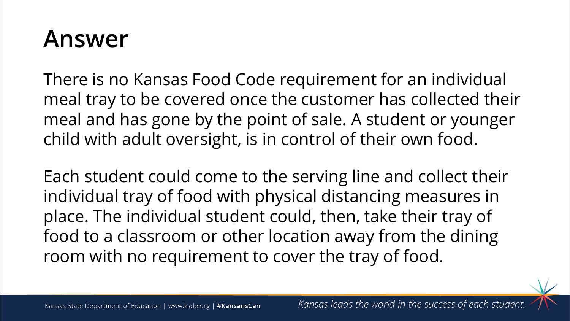There is no Kansas Food Code requirement for an individual meal tray to be covered once the customer has collected their meal and has gone by the point of sale. A student or younger child with adult oversight, is in control of their own food.

Each student could come to the serving line and collect their individual tray of food with physical distancing measures in place. The individual student could, then, take their tray of food to a classroom or other location away from the dining room with no requirement to cover the tray of food.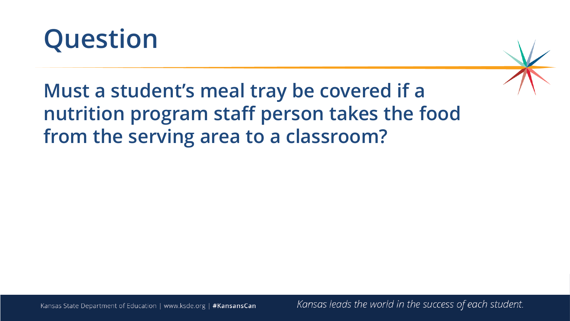



**Must a student's meal tray be covered if a nutrition program staff person takes the food from the serving area to a classroom?**

Kansas State Department of Education | www.ksde.org | #KansansCan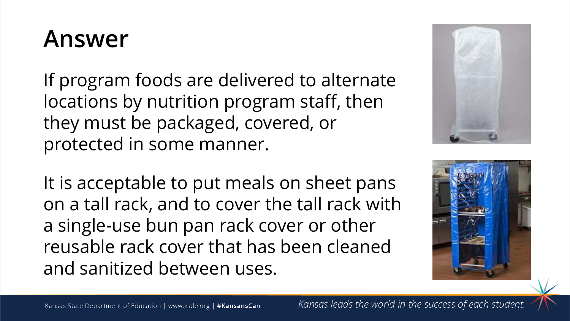If program foods are delivered to alternate locations by nutrition program staff, then they must be packaged, covered, or protected in some manner.

It is acceptable to put meals on sheet pans on a tall rack, and to cover the tall rack with a single-use bun pan rack cover or other reusable rack cover that has been cleaned and sanitized between uses.



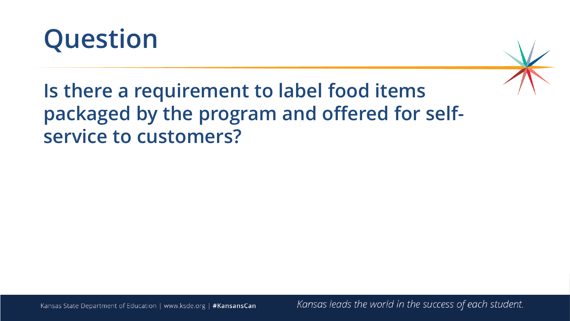



**Is there a requirement to label food items packaged by the program and offered for selfservice to customers?**

Kansas State Department of Education | www.ksde.org | #KansansCan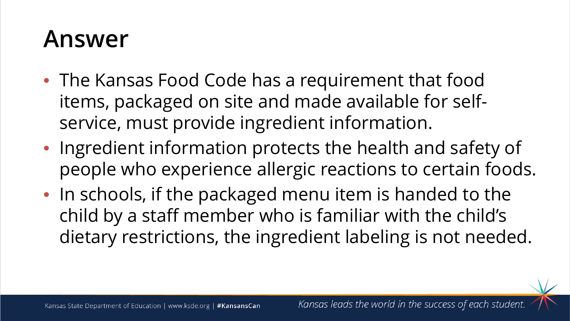- The Kansas Food Code has a requirement that food items, packaged on site and made available for selfservice, must provide ingredient information.
- Ingredient information protects the health and safety of people who experience allergic reactions to certain foods.
- In schools, if the packaged menu item is handed to the child by a staff member who is familiar with the child's dietary restrictions, the ingredient labeling is not needed.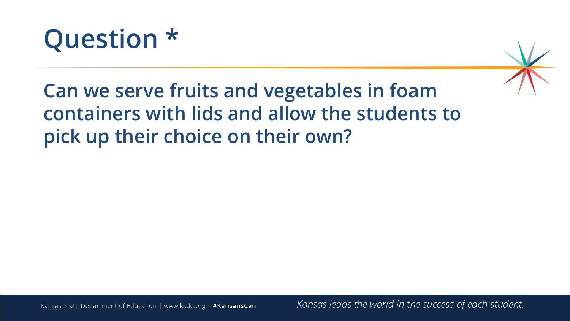



**Can we serve fruits and vegetables in foam containers with lids and allow the students to pick up their choice on their own?**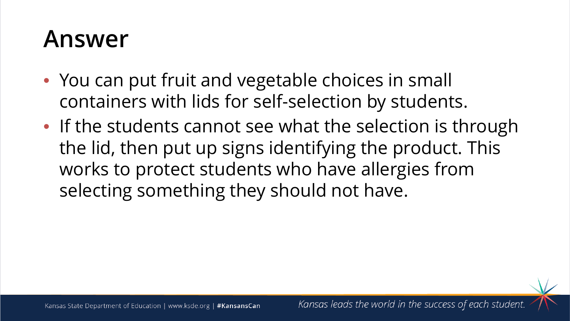- You can put fruit and vegetable choices in small containers with lids for self-selection by students.
- If the students cannot see what the selection is through the lid, then put up signs identifying the product. This works to protect students who have allergies from selecting something they should not have.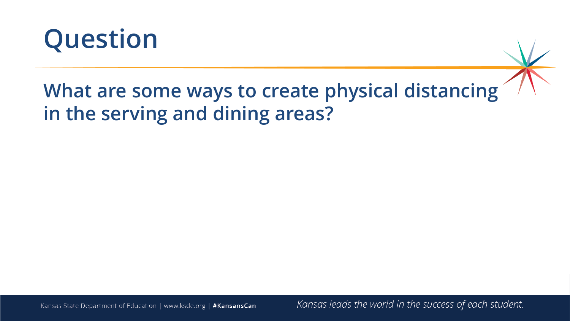

#### **What are some ways to create physical distancing in the serving and dining areas?**

Kansas State Department of Education | www.ksde.org | #KansansCan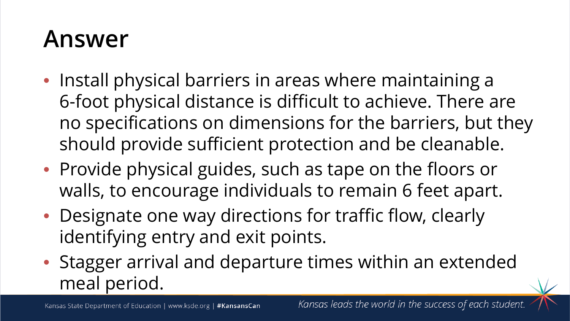- Install physical barriers in areas where maintaining a 6-foot physical distance is difficult to achieve. There are no specifications on dimensions for the barriers, but they should provide sufficient protection and be cleanable.
- Provide physical guides, such as tape on the floors or walls, to encourage individuals to remain 6 feet apart.
- Designate one way directions for traffic flow, clearly identifying entry and exit points.
- Stagger arrival and departure times within an extended meal period.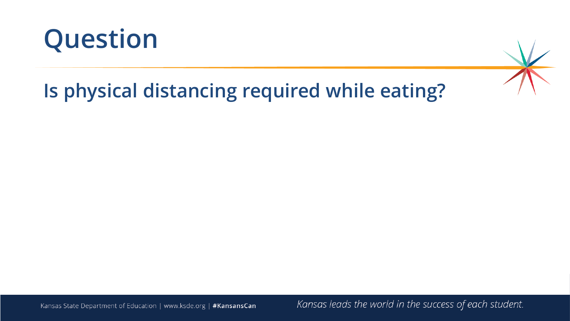

### **Is physical distancing required while eating?**



Kansas State Department of Education | www.ksde.org | #KansansCan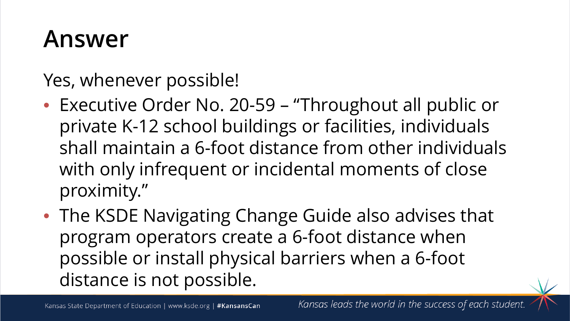Yes, whenever possible!

- Executive Order No. 20-59 "Throughout all public or private K-12 school buildings or facilities, individuals shall maintain a 6-foot distance from other individuals with only infrequent or incidental moments of close proximity."
- The KSDE Navigating Change Guide also advises that program operators create a 6-foot distance when possible or install physical barriers when a 6-foot distance is not possible.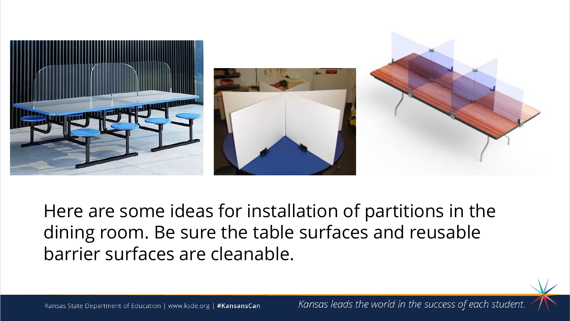

Here are some ideas for installation of partitions in the dining room. Be sure the table surfaces and reusable barrier surfaces are cleanable.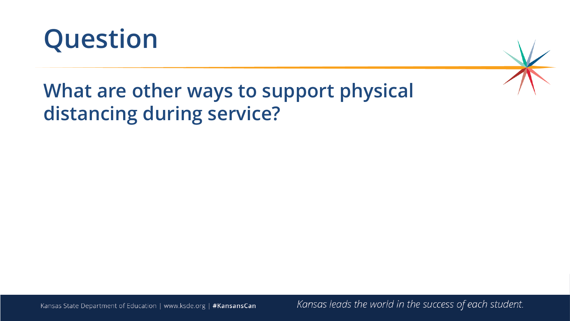



#### **What are other ways to support physical distancing during service?**

Kansas State Department of Education | www.ksde.org | #KansansCan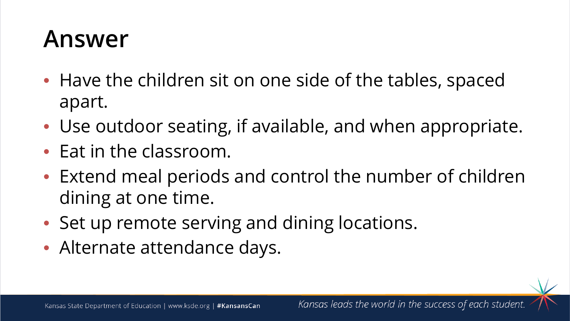- Have the children sit on one side of the tables, spaced apart.
- Use outdoor seating, if available, and when appropriate.
- Eat in the classroom.
- Extend meal periods and control the number of children dining at one time.
- Set up remote serving and dining locations.
- Alternate attendance days.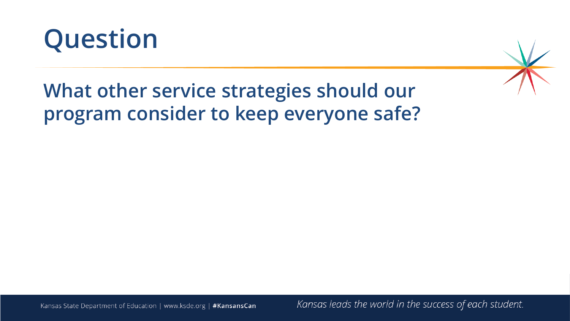



#### **What other service strategies should our program consider to keep everyone safe?**

Kansas State Department of Education | www.ksde.org | #KansansCan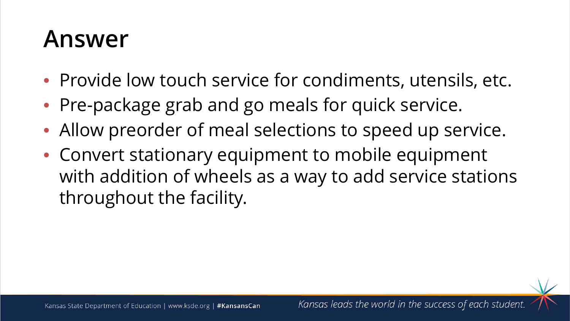- Provide low touch service for condiments, utensils, etc.
- Pre-package grab and go meals for quick service.
- Allow preorder of meal selections to speed up service.
- Convert stationary equipment to mobile equipment with addition of wheels as a way to add service stations throughout the facility.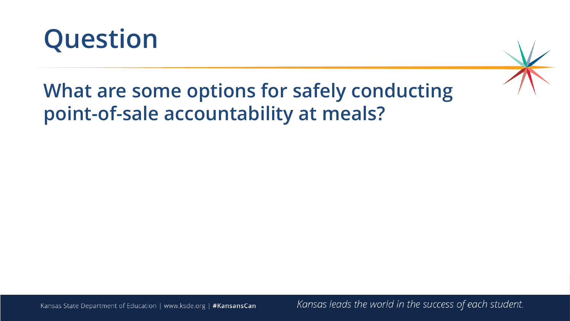

#### **What are some options for safely conducting point-of-sale accountability at meals?**

Kansas State Department of Education | www.ksde.org | #KansansCan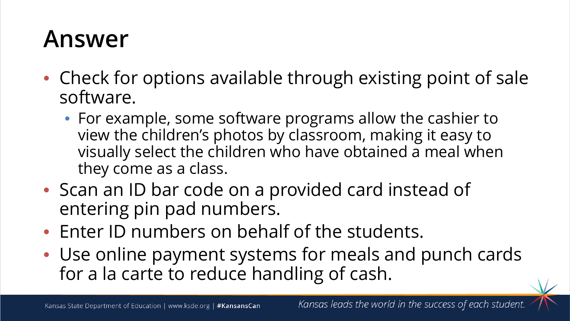- Check for options available through existing point of sale software.
	- For example, some software programs allow the cashier to view the children's photos by classroom, making it easy to visually select the children who have obtained a meal when they come as a class.
- Scan an ID bar code on a provided card instead of entering pin pad numbers.
- Enter ID numbers on behalf of the students.
- Use online payment systems for meals and punch cards for a la carte to reduce handling of cash.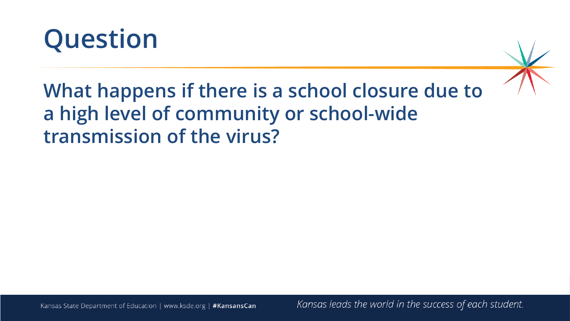

**What happens if there is a school closure due to a high level of community or school-wide transmission of the virus?**

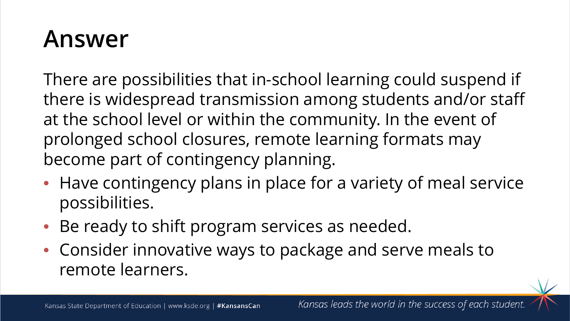There are possibilities that in-school learning could suspend if there is widespread transmission among students and/or staff at the school level or within the community. In the event of prolonged school closures, remote learning formats may become part of contingency planning.

- Have contingency plans in place for a variety of meal service possibilities.
- Be ready to shift program services as needed.
- Consider innovative ways to package and serve meals to remote learners.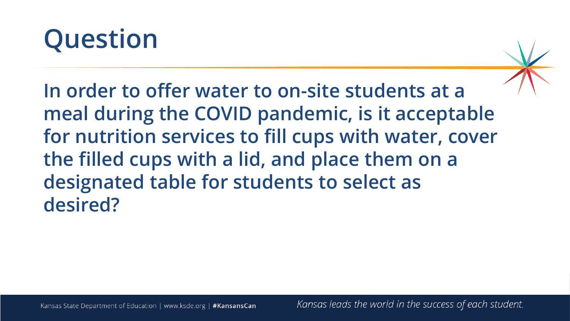# **Question**

**In order to offer water to on-site students at a meal during the COVID pandemic, is it acceptable for nutrition services to fill cups with water, cover the filled cups with a lid, and place them on a designated table for students to select as desired?**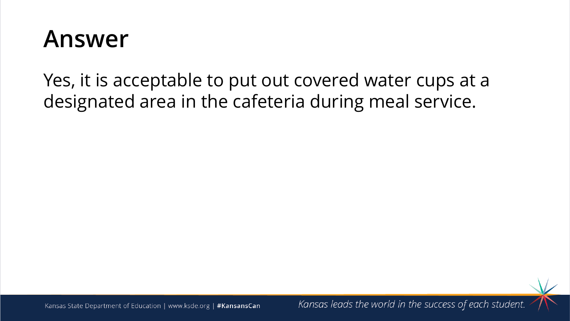Yes, it is acceptable to put out covered water cups at a designated area in the cafeteria during meal service.



Kansas State Department of Education | www.ksde.org | #KansansCan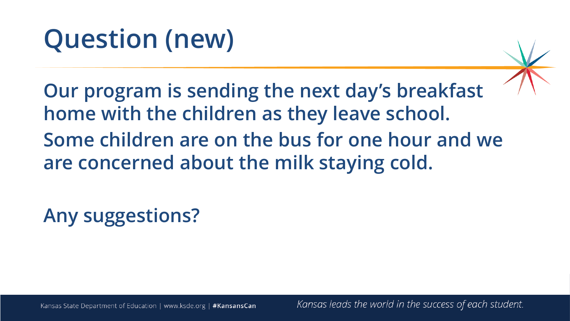# **Question (new)**

**Our program is sending the next day's breakfast home with the children as they leave school. Some children are on the bus for one hour and we are concerned about the milk staying cold.**

**Any suggestions?**

Kansas State Department of Education | www.ksde.org | #KansansCan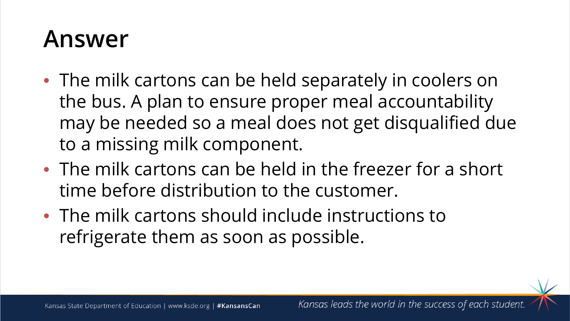- The milk cartons can be held separately in coolers on the bus. A plan to ensure proper meal accountability may be needed so a meal does not get disqualified due to a missing milk component.
- The milk cartons can be held in the freezer for a short time before distribution to the customer.
- The milk cartons should include instructions to refrigerate them as soon as possible.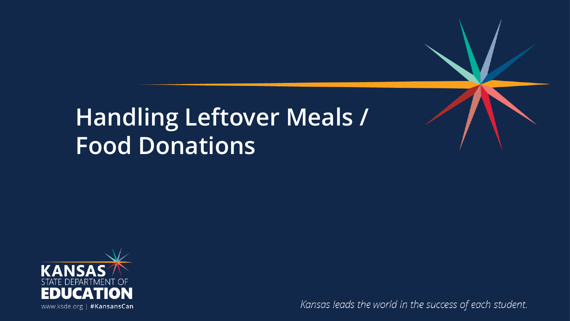### **Handling Leftover Meals / Food Donations**

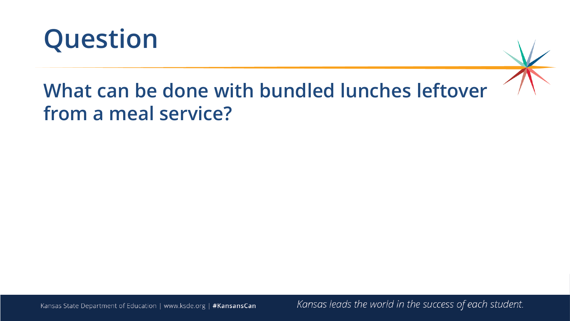

#### **What can be done with bundled lunches leftover from a meal service?**

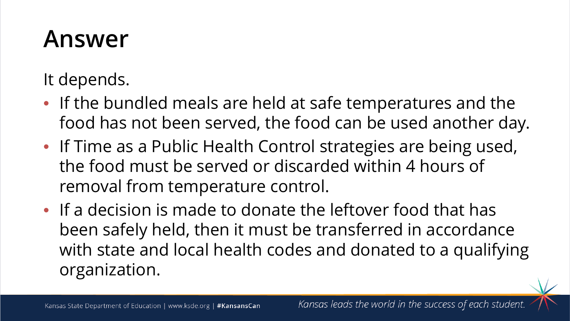It depends.

- If the bundled meals are held at safe temperatures and the food has not been served, the food can be used another day.
- If Time as a Public Health Control strategies are being used, the food must be served or discarded within 4 hours of removal from temperature control.
- If a decision is made to donate the leftover food that has been safely held, then it must be transferred in accordance with state and local health codes and donated to a qualifying organization.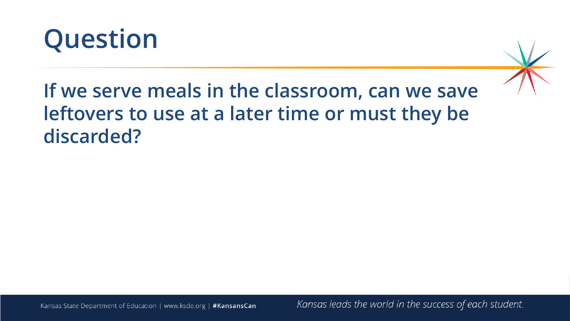



#### **If we serve meals in the classroom, can we save leftovers to use at a later time or must they be discarded?**

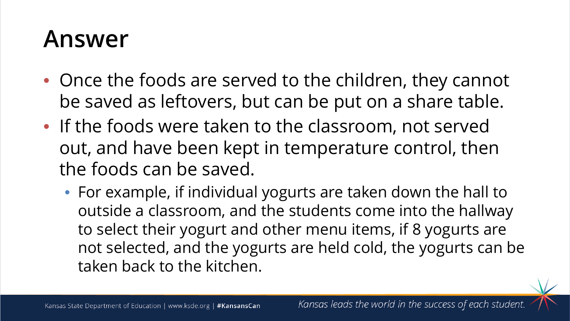- Once the foods are served to the children, they cannot be saved as leftovers, but can be put on a share table.
- If the foods were taken to the classroom, not served out, and have been kept in temperature control, then the foods can be saved.
	- For example, if individual yogurts are taken down the hall to outside a classroom, and the students come into the hallway to select their yogurt and other menu items, if 8 yogurts are not selected, and the yogurts are held cold, the yogurts can be taken back to the kitchen.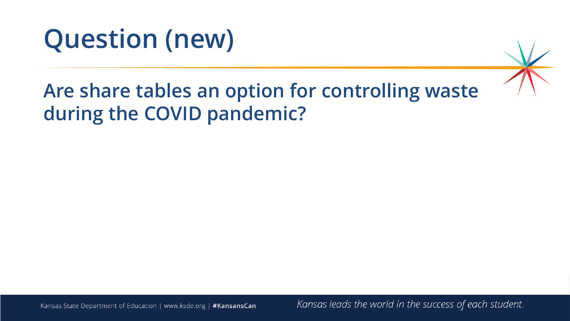

#### **Are share tables an option for controlling waste during the COVID pandemic?**

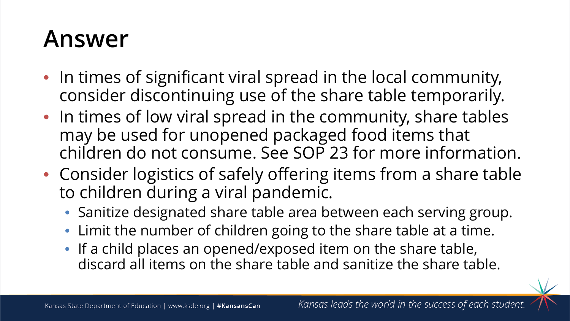- In times of significant viral spread in the local community, consider discontinuing use of the share table temporarily.
- In times of low viral spread in the community, share tables may be used for unopened packaged food items that children do not consume. See SOP 23 for more information.
- Consider logistics of safely offering items from a share table to children during a viral pandemic.
	- Sanitize designated share table area between each serving group.
	- Limit the number of children going to the share table at a time.
	- If a child places an opened/exposed item on the share table, discard all items on the share table and sanitize the share table.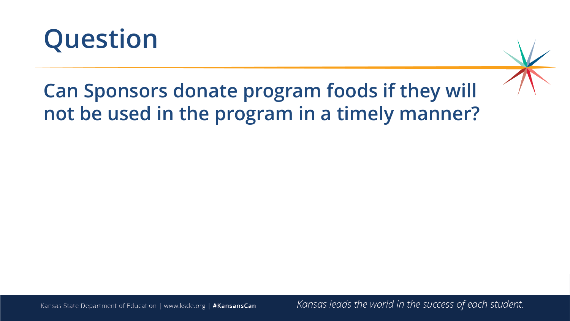

### **Can Sponsors donate program foods if they will not be used in the program in a timely manner?**

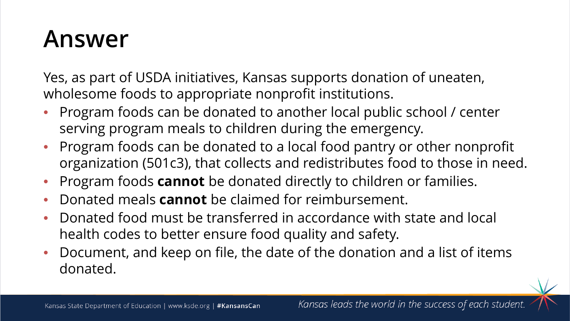Yes, as part of USDA initiatives, Kansas supports donation of uneaten, wholesome foods to appropriate nonprofit institutions.

- Program foods can be donated to another local public school / center serving program meals to children during the emergency.
- Program foods can be donated to a local food pantry or other nonprofit organization (501c3), that collects and redistributes food to those in need.
- Program foods **cannot** be donated directly to children or families.
- Donated meals **cannot** be claimed for reimbursement.
- Donated food must be transferred in accordance with state and local health codes to better ensure food quality and safety.
- Document, and keep on file, the date of the donation and a list of items donated.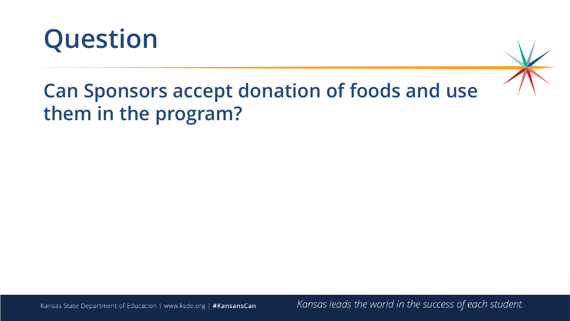

#### **Can Sponsors accept donation of foods and use them in the program?**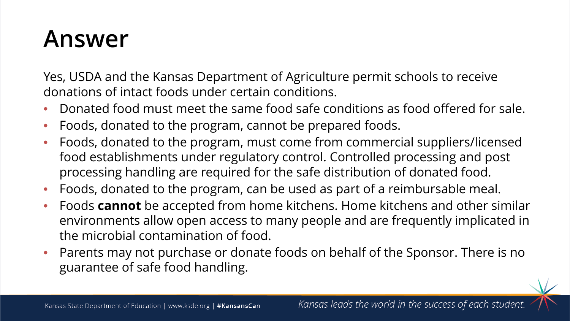Yes, USDA and the Kansas Department of Agriculture permit schools to receive donations of intact foods under certain conditions.

- Donated food must meet the same food safe conditions as food offered for sale.
- Foods, donated to the program, cannot be prepared foods.
- Foods, donated to the program, must come from commercial suppliers/licensed food establishments under regulatory control. Controlled processing and post processing handling are required for the safe distribution of donated food.
- Foods, donated to the program, can be used as part of a reimbursable meal.
- Foods **cannot** be accepted from home kitchens. Home kitchens and other similar environments allow open access to many people and are frequently implicated in the microbial contamination of food.
- Parents may not purchase or donate foods on behalf of the Sponsor. There is no guarantee of safe food handling.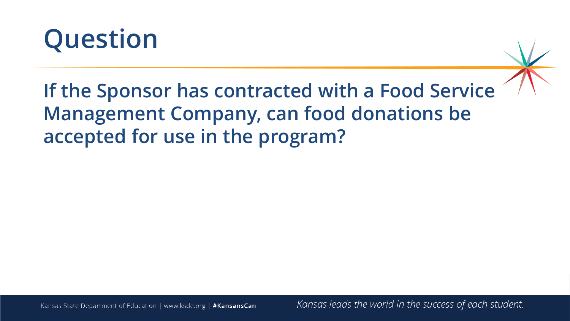

**If the Sponsor has contracted with a Food Service Management Company, can food donations be accepted for use in the program?**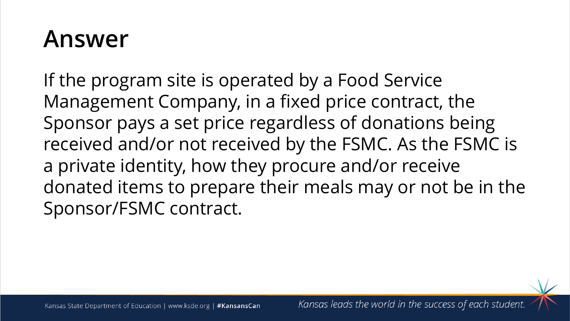If the program site is operated by a Food Service Management Company, in a fixed price contract, the Sponsor pays a set price regardless of donations being received and/or not received by the FSMC. As the FSMC is a private identity, how they procure and/or receive donated items to prepare their meals may or not be in the Sponsor/FSMC contract.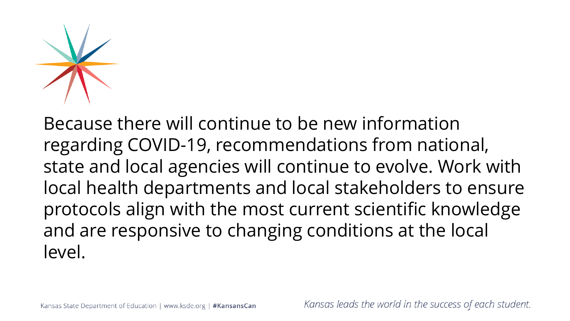

Because there will continue to be new information regarding COVID-19, recommendations from national, state and local agencies will continue to evolve. Work with local health departments and local stakeholders to ensure protocols align with the most current scientific knowledge and are responsive to changing conditions at the local level.